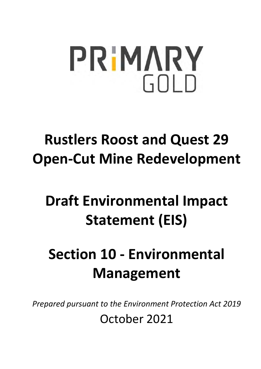# **PRIMARY** GOLD

## **Rustlers Roost and Quest 29 Open-Cut Mine Redevelopment**

## **Draft Environmental Impact Statement (EIS)**

## **Section 10 - Environmental Management**

*Prepared pursuant to the Environment Protection Act 2019* 

October 2021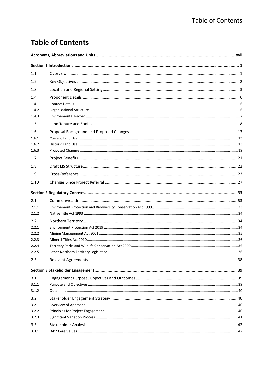## **Table of Contents**

| 1.1   |  |
|-------|--|
| 1.2   |  |
| 1.3   |  |
| 1.4   |  |
| 1.4.1 |  |
| 1.4.2 |  |
| 1.4.3 |  |
| 1.5   |  |
| 1.6   |  |
| 1.6.1 |  |
| 1.6.2 |  |
| 1.6.3 |  |
| 1.7   |  |
| 1.8   |  |
| 1.9   |  |
| 1.10  |  |
|       |  |
| 2.1   |  |
| 2.1.1 |  |
| 2.1.2 |  |
| 2.2   |  |
| 2.2.1 |  |
| 2.2.2 |  |
| 2.2.3 |  |
| 2.2.4 |  |
| 2.2.5 |  |
| 2.3   |  |
|       |  |
| 3.1   |  |
| 3.1.1 |  |
| 3.1.2 |  |
| 3.2   |  |
| 3.2.1 |  |
| 3.2.2 |  |
| 3.2.3 |  |
| 3.3   |  |
| 3.3.1 |  |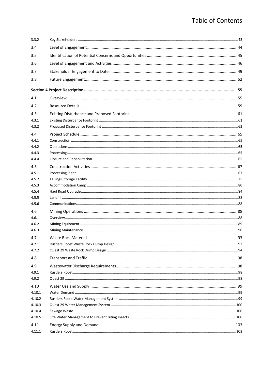| 3.3.2  |  |
|--------|--|
| 3.4    |  |
| 3.5    |  |
| 3.6    |  |
| 3.7    |  |
| 3.8    |  |
|        |  |
|        |  |
| 4.1    |  |
| 4.2    |  |
| 4.3    |  |
| 4.3.1  |  |
| 4.3.2  |  |
| 4.4    |  |
| 4.4.1  |  |
| 4.4.2  |  |
| 4.4.3  |  |
| 4.4.4  |  |
| 4.5    |  |
| 4.5.1  |  |
| 4.5.2  |  |
| 4.5.3  |  |
| 4.5.4  |  |
| 4.5.5  |  |
| 4.5.6  |  |
| 4.6    |  |
| 4.6.1  |  |
| 4.6.2  |  |
| 4.6.3  |  |
| 4.7    |  |
| 4.7.1  |  |
| 4.7.2  |  |
| 4.8    |  |
| 4.9    |  |
| 4.9.1  |  |
| 4.9.2  |  |
| 4.10   |  |
| 4.10.1 |  |
| 4.10.2 |  |
| 4.10.3 |  |
| 4.10.4 |  |
| 4.10.5 |  |
| 4.11   |  |
| 4.11.1 |  |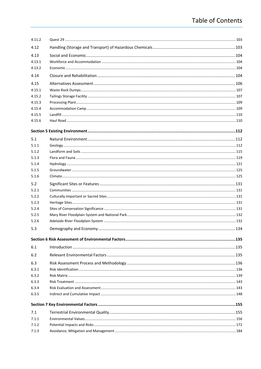| 4.11.2 |  |
|--------|--|
| 4.12   |  |
| 4.13   |  |
| 4.13.1 |  |
| 4.13.2 |  |
| 4.14   |  |
| 4.15   |  |
| 4.15.1 |  |
| 4.15.2 |  |
| 4.15.3 |  |
| 4.15.4 |  |
| 4.15.5 |  |
| 4.15.6 |  |
|        |  |
| 5.1    |  |
| 5.1.1  |  |
| 5.1.2  |  |
| 5.1.3  |  |
| 5.1.4  |  |
| 5.1.5  |  |
| 5.1.6  |  |
| 5.2    |  |
| 5.2.1  |  |
| 5.2.2  |  |
| 5.2.3  |  |
| 5.2.4  |  |
| 5.2.5  |  |
| 5.2.6  |  |
| 5.3    |  |
|        |  |
| 6.1    |  |
| 6.2    |  |
| 6.3    |  |
| 6.3.1  |  |
| 6.3.2  |  |
| 6.3.3  |  |
| 6.3.4  |  |
| 6.3.5  |  |
|        |  |
| 7.1    |  |
| 7.1.1  |  |
| 7.1.2  |  |
| 7.1.3  |  |
|        |  |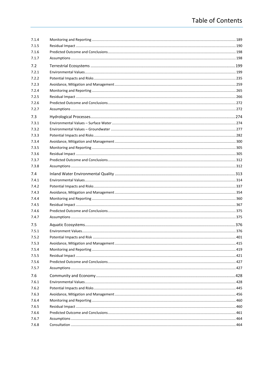| 7.1.4 |  |
|-------|--|
| 7.1.5 |  |
| 7.1.6 |  |
| 7.1.7 |  |
| 7.2   |  |
| 7.2.1 |  |
| 7.2.2 |  |
| 7.2.3 |  |
| 7.2.4 |  |
| 7.2.5 |  |
| 7.2.6 |  |
| 7.2.7 |  |
| 7.3   |  |
| 7.3.1 |  |
| 7.3.2 |  |
| 7.3.3 |  |
| 7.3.4 |  |
| 7.3.5 |  |
| 7.3.6 |  |
| 7.3.7 |  |
| 7.3.8 |  |
| 7.4   |  |
| 7.4.1 |  |
| 7.4.2 |  |
| 7.4.3 |  |
| 7.4.4 |  |
| 7.4.5 |  |
| 7.4.6 |  |
| 7.4.7 |  |
| 7.5   |  |
| 7.5.1 |  |
| 7.5.2 |  |
| 7.5.3 |  |
| 7.5.4 |  |
| 7.5.5 |  |
| 7.5.6 |  |
| 7.5.7 |  |
| 7.6   |  |
| 7.6.1 |  |
| 7.6.2 |  |
| 7.6.3 |  |
| 7.6.4 |  |
| 7.6.5 |  |
| 7.6.6 |  |
| 7.6.7 |  |
| 7.6.8 |  |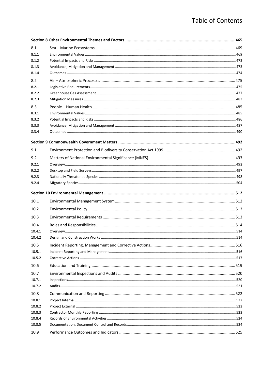| 8.1    |  |
|--------|--|
| 8.1.1  |  |
| 8.1.2  |  |
| 8.1.3  |  |
| 8.1.4  |  |
| 8.2    |  |
| 8.2.1  |  |
| 8.2.2  |  |
| 8.2.3  |  |
| 8.3    |  |
| 8.3.1  |  |
| 8.3.2  |  |
| 8.3.3  |  |
| 8.3.4  |  |
|        |  |
| 9.1    |  |
| 9.2    |  |
| 9.2.1  |  |
| 9.2.2  |  |
| 9.2.3  |  |
| 9.2.4  |  |
|        |  |
|        |  |
|        |  |
| 10.1   |  |
| 10.2   |  |
| 10.3   |  |
| 10.4   |  |
| 10.4.1 |  |
| 10.4.2 |  |
| 10.5   |  |
| 10.5.1 |  |
| 10.5.2 |  |
| 10.6   |  |
| 10.7   |  |
| 10.7.1 |  |
| 10.7.2 |  |
| 10.8   |  |
| 10.8.1 |  |
| 10.8.2 |  |
| 10.8.3 |  |
| 10.8.4 |  |
| 10.8.5 |  |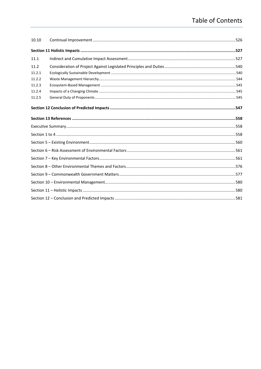| 10.10  |  |
|--------|--|
|        |  |
| 11.1   |  |
| 11.2   |  |
| 11.2.1 |  |
| 11.2.2 |  |
| 11.2.3 |  |
| 11.2.4 |  |
| 11.2.5 |  |
|        |  |
|        |  |
|        |  |
|        |  |
|        |  |
|        |  |
|        |  |
|        |  |
|        |  |
|        |  |
|        |  |
|        |  |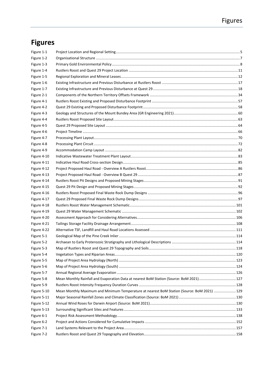## **Figures**

| Figure 1-1  |                                                                                            |  |
|-------------|--------------------------------------------------------------------------------------------|--|
| Figure 1-2  |                                                                                            |  |
| Figure 1-3  |                                                                                            |  |
| Figure 1-4  |                                                                                            |  |
| Figure 1-5  |                                                                                            |  |
| Figure 1-6  |                                                                                            |  |
| Figure 1-7  |                                                                                            |  |
| Figure 2-1  |                                                                                            |  |
| Figure 4-1  |                                                                                            |  |
| Figure 4-2  |                                                                                            |  |
| Figure 4-3  |                                                                                            |  |
| Figure 4-4  |                                                                                            |  |
| Figure 4-5  |                                                                                            |  |
| Figure 4-6  |                                                                                            |  |
| Figure 4-7  |                                                                                            |  |
| Figure 4-8  |                                                                                            |  |
| Figure 4-9  |                                                                                            |  |
| Figure 4-10 |                                                                                            |  |
| Figure 4-11 |                                                                                            |  |
| Figure 4-12 |                                                                                            |  |
| Figure 4-13 |                                                                                            |  |
| Figure 4-14 |                                                                                            |  |
| Figure 4-15 |                                                                                            |  |
| Figure 4-16 |                                                                                            |  |
| Figure 4-17 |                                                                                            |  |
| Figure 4-18 |                                                                                            |  |
| Figure 4-19 |                                                                                            |  |
| Figure 4-20 |                                                                                            |  |
| Figure 4-21 |                                                                                            |  |
| Figure 4-22 |                                                                                            |  |
| Figure 5-1  |                                                                                            |  |
| Figure 5-2  |                                                                                            |  |
| Figure 5-3  |                                                                                            |  |
| Figure 5-4  |                                                                                            |  |
| Figure 5-5  |                                                                                            |  |
| Figure 5-6  |                                                                                            |  |
| Figure 5-7  |                                                                                            |  |
| Figure 5-8  | Mean Monthly Rainfall and Evaporation Data at nearest BoM Station (Source: BoM 2021) 127   |  |
| Figure 5-9  |                                                                                            |  |
| Figure 5-10 | Mean Monthly Maximum and Minimum Temperature at nearest BoM Station (Source: BoM 2021) 129 |  |
| Figure 5-11 |                                                                                            |  |
| Figure 5-12 |                                                                                            |  |
| Figure 5-13 |                                                                                            |  |
| Figure 6-1  |                                                                                            |  |
| Figure 6-2  |                                                                                            |  |
| Figure 7-1  |                                                                                            |  |
| Figure 7-2  |                                                                                            |  |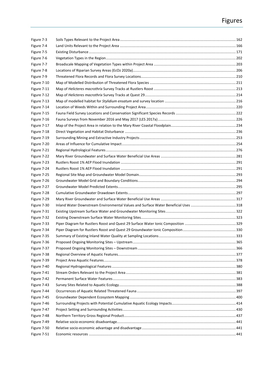| Figure 7-3  |  |
|-------------|--|
| Figure 7-4  |  |
| Figure 7-5  |  |
| Figure 7-6  |  |
| Figure 7-7  |  |
| Figure 7-8  |  |
| Figure 7-9  |  |
| Figure 7-10 |  |
| Figure 7-11 |  |
| Figure 7-12 |  |
| Figure 7-13 |  |
| Figure 7-14 |  |
| Figure 7-15 |  |
| Figure 7-16 |  |
| Figure 7-17 |  |
| Figure 7-18 |  |
| Figure 7-19 |  |
| Figure 7-20 |  |
| Figure 7-21 |  |
| Figure 7-22 |  |
| Figure 7-23 |  |
| Figure 7-24 |  |
| Figure 7-25 |  |
| Figure 7-26 |  |
| Figure 7-27 |  |
| Figure 7-28 |  |
| Figure 7-29 |  |
| Figure 7-30 |  |
| Figure 7-31 |  |
| Figure 7-32 |  |
| Figure 7-33 |  |
| Figure 7-34 |  |
| Figure 7-35 |  |
| Figure 7-36 |  |
| Figure 7-37 |  |
| Figure 7-38 |  |
| Figure 7-39 |  |
| Figure 7-40 |  |
| Figure 7-41 |  |
| Figure 7-42 |  |
| Figure 7-43 |  |
| Figure 7-44 |  |
| Figure 7-45 |  |
| Figure 7-46 |  |
| Figure 7-47 |  |
| Figure 7-48 |  |
| Figure 7-49 |  |
| Figure 7-50 |  |
| Figure 7-51 |  |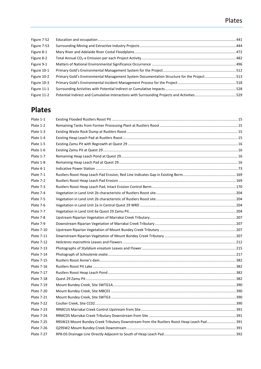## Plates

| Figure 7-52 |                                                                                           |  |
|-------------|-------------------------------------------------------------------------------------------|--|
| Figure 7-53 |                                                                                           |  |
| Figure 8-1  |                                                                                           |  |
| Figure 8-2  |                                                                                           |  |
| Figure 9-1  |                                                                                           |  |
| Figure 10-1 |                                                                                           |  |
| Figure 10-2 | Primary Gold's Environmental Management System Documentation Structure for the Project513 |  |
| Figure 10-3 |                                                                                           |  |
| Figure 11-1 |                                                                                           |  |
| Figure 11-2 |                                                                                           |  |
|             |                                                                                           |  |

## **Plates**

| Plate 1-1         |                                                                                          |  |
|-------------------|------------------------------------------------------------------------------------------|--|
| Plate 1-2         |                                                                                          |  |
| Plate 1-3         |                                                                                          |  |
| Plate 1-4         |                                                                                          |  |
| Plate 1-5         |                                                                                          |  |
| Plate 1-6         |                                                                                          |  |
| Plate 1-7         |                                                                                          |  |
| Plate 1-8         |                                                                                          |  |
| Plate 4-1         |                                                                                          |  |
| Plate 7-1         |                                                                                          |  |
| Plate 7-2         |                                                                                          |  |
| Plate 7-3         |                                                                                          |  |
| Plate 7-4         |                                                                                          |  |
| Plate 7-5         |                                                                                          |  |
| Plate 7-6         |                                                                                          |  |
| Plate 7-7         |                                                                                          |  |
| Plate 7-8         |                                                                                          |  |
| Plate 7-9         |                                                                                          |  |
| <b>Plate 7-10</b> |                                                                                          |  |
| <b>Plate 7-11</b> |                                                                                          |  |
| Plate 7-12        |                                                                                          |  |
| <b>Plate 7-13</b> |                                                                                          |  |
| Plate 7-14        |                                                                                          |  |
| Plate 7-15        |                                                                                          |  |
| <b>Plate 7-16</b> |                                                                                          |  |
| <b>Plate 7-17</b> |                                                                                          |  |
| Plate 7-18        |                                                                                          |  |
| Plate 7-19        |                                                                                          |  |
| <b>Plate 7-20</b> |                                                                                          |  |
| <b>Plate 7-21</b> |                                                                                          |  |
| <b>Plate 7-22</b> |                                                                                          |  |
| <b>Plate 7-23</b> |                                                                                          |  |
| <b>Plate 7-24</b> |                                                                                          |  |
| <b>Plate 7-25</b> | RRSW23 Mount Bundey Creek Tributary Downstream from the Rustlers Roost Heap Leach Pad391 |  |
| <b>Plate 7-26</b> |                                                                                          |  |
| Plate 7-27        |                                                                                          |  |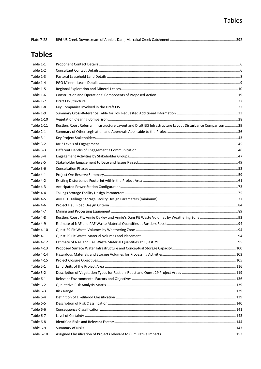| Plate 7-28 |  |  |
|------------|--|--|
|------------|--|--|

## **Tables**

| Table 1-1  |                                                                                                              |  |
|------------|--------------------------------------------------------------------------------------------------------------|--|
| Table 1-2  |                                                                                                              |  |
| Table 1-3  |                                                                                                              |  |
| Table 1-4  |                                                                                                              |  |
| Table 1-5  |                                                                                                              |  |
| Table 1-6  |                                                                                                              |  |
| Table 1-7  |                                                                                                              |  |
| Table 1-8  |                                                                                                              |  |
| Table 1-9  |                                                                                                              |  |
| Table 1-10 |                                                                                                              |  |
| Table 1-11 | Rustlers Roost Referral Infrastructure Layout and Draft EIS Infrastructure Layout Disturbance Comparison  29 |  |
| Table 2-1  |                                                                                                              |  |
| Table 3-1  |                                                                                                              |  |
| Table 3-2  |                                                                                                              |  |
| Table 3-3  |                                                                                                              |  |
| Table 3-4  |                                                                                                              |  |
| Table 3-5  |                                                                                                              |  |
| Table 3-6  |                                                                                                              |  |
| Table 4-1  |                                                                                                              |  |
| Table 4-2  |                                                                                                              |  |
| Table 4-3  |                                                                                                              |  |
| Table 4-4  |                                                                                                              |  |
| Table 4-5  |                                                                                                              |  |
| Table 4-6  |                                                                                                              |  |
| Table 4-7  |                                                                                                              |  |
| Table 4-8  |                                                                                                              |  |
| Table 4-9  |                                                                                                              |  |
| Table 4-10 |                                                                                                              |  |
| Table 4-11 |                                                                                                              |  |
| Table 4-12 |                                                                                                              |  |
| Table 4-13 |                                                                                                              |  |
| Table 4-14 |                                                                                                              |  |
| Table 4-15 |                                                                                                              |  |
| Table 5-1  |                                                                                                              |  |
| Table 5-2  |                                                                                                              |  |
| Table 6-1  |                                                                                                              |  |
| Table 6-2  |                                                                                                              |  |
| Table 6-3  |                                                                                                              |  |
| Table 6-4  |                                                                                                              |  |
| Table 6-5  |                                                                                                              |  |
| Table 6-6  |                                                                                                              |  |
| Table 6-7  |                                                                                                              |  |
| Table 6-8  |                                                                                                              |  |
| Table 6-9  |                                                                                                              |  |
| Table 6-10 |                                                                                                              |  |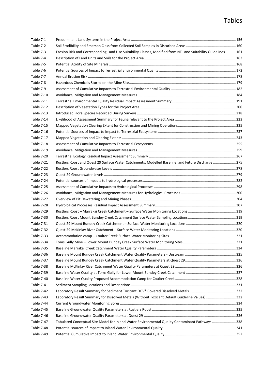| Table 7-1         |                                                                                                                |  |
|-------------------|----------------------------------------------------------------------------------------------------------------|--|
| Table 7-2         |                                                                                                                |  |
| Table 7-3         | Erosion Risk and Corresponding Land Use Suitability Classes, Modified from NT Land Suitability Guidelines  161 |  |
| Table 7-4         |                                                                                                                |  |
| Table 7-5         |                                                                                                                |  |
| Table 7-6         |                                                                                                                |  |
| Table 7-7         |                                                                                                                |  |
| Table 7-8         |                                                                                                                |  |
| Table 7-9         |                                                                                                                |  |
| Table 7-10        |                                                                                                                |  |
| Table 7-11        |                                                                                                                |  |
| Table 7-12        |                                                                                                                |  |
| Table 7-13        |                                                                                                                |  |
| Table 7-14        |                                                                                                                |  |
| Table 7-15        |                                                                                                                |  |
| Table 7-16        |                                                                                                                |  |
| Table 7-17        |                                                                                                                |  |
| Table 7-18        |                                                                                                                |  |
| Table 7-19        |                                                                                                                |  |
| Table 7-20        |                                                                                                                |  |
| Table 7-21        | Rustlers Roost and Quest 29 Surface Water Catchments, Modelled Baseline, and Future Discharge275               |  |
| Table 7-22        |                                                                                                                |  |
| Table 7-23        |                                                                                                                |  |
| Table 7-24        |                                                                                                                |  |
| Table 7-25        |                                                                                                                |  |
| Table 7-26        |                                                                                                                |  |
| Table 7-27        |                                                                                                                |  |
| Table 7-28        |                                                                                                                |  |
| Table 7-29        |                                                                                                                |  |
| Table 7-30        |                                                                                                                |  |
| Table 7-31        |                                                                                                                |  |
| Table 7-32        |                                                                                                                |  |
| Table 7-33        |                                                                                                                |  |
| Table 7-34        |                                                                                                                |  |
| Table 7-35        |                                                                                                                |  |
| Table 7-36        |                                                                                                                |  |
| Table 7-37        |                                                                                                                |  |
| Table 7-38        |                                                                                                                |  |
| Table 7-39        |                                                                                                                |  |
| <b>Table 7-40</b> |                                                                                                                |  |
| Table 7-41        |                                                                                                                |  |
| Table 7-42        |                                                                                                                |  |
| Table 7-43        | Laboratory Result Summary for Dissolved Metals (Without Toxicant Default Guideline Values) 332                 |  |
| Table 7-44        |                                                                                                                |  |
| Table 7-45        |                                                                                                                |  |
| Table 7-46        |                                                                                                                |  |
| Table 7-47        | Tabulated Conceptual Site Model for Inland Water Environmental Quality Contaminant Pathways338                 |  |
| Table 7-48        |                                                                                                                |  |
| Table 7-49        |                                                                                                                |  |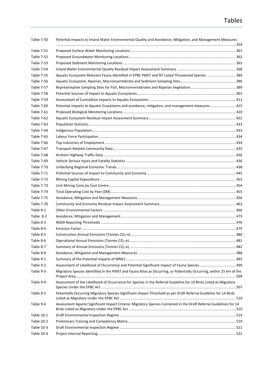## Tables

| Table 7-50 | Potential Impacts to Inland Water Environmental Quality and Avoidance, Mitigation, and Management Measures           |  |
|------------|----------------------------------------------------------------------------------------------------------------------|--|
| Table 7-51 |                                                                                                                      |  |
| Table 7-52 |                                                                                                                      |  |
| Table 7-53 |                                                                                                                      |  |
| Table 7-54 |                                                                                                                      |  |
| Table 7-55 | Aquatic Ecosystem Relevant Fauna Identified in EPBC PMST and NT Listed Threatened Species 384                        |  |
| Table 7-56 |                                                                                                                      |  |
| Table 7-57 |                                                                                                                      |  |
| Table 7-58 |                                                                                                                      |  |
| Table 7-59 |                                                                                                                      |  |
| Table 7-60 | Potential impacts to Aquatic Ecosystems and avoidance, mitigation, and management measures 415                       |  |
| Table 7-61 |                                                                                                                      |  |
| Table 7-62 |                                                                                                                      |  |
| Table 7-63 |                                                                                                                      |  |
| Table 7-64 |                                                                                                                      |  |
| Table 7-65 |                                                                                                                      |  |
| Table 7-66 |                                                                                                                      |  |
| Table 7-67 |                                                                                                                      |  |
| Table 7-68 |                                                                                                                      |  |
| Table 7-69 |                                                                                                                      |  |
| Table 7-70 |                                                                                                                      |  |
| Table 7-71 |                                                                                                                      |  |
| Table 7-72 |                                                                                                                      |  |
| Table 7-73 |                                                                                                                      |  |
| Table 7-74 |                                                                                                                      |  |
| Table 7-75 |                                                                                                                      |  |
| Table 7-76 |                                                                                                                      |  |
| Table 8-1  |                                                                                                                      |  |
| Table 8-2  |                                                                                                                      |  |
| Table 8-3  |                                                                                                                      |  |
| Table 8-4  |                                                                                                                      |  |
| Table 8-5  |                                                                                                                      |  |
| Table 8-6  |                                                                                                                      |  |
| Table 8-7  |                                                                                                                      |  |
| Table 8-8  |                                                                                                                      |  |
| Table 9-1  |                                                                                                                      |  |
| Table 9-2  | Assessment of Likelihood of Occurrence and Potential Significant Impact of Fauna Species  499                        |  |
| Table 9-3  | Migratory Species Identified in the PMST and Fauna Atlas as Occurring, or Potentially Occurring, within 25 km of the |  |
| Table 9-4  | Assessment of the Likelihood of Occurrence for Species in the Referral Guideline for 14 Birds Listed as Migratory    |  |
| Table 9-5  | Potentially Occurring Migratory Species Significant Impact Threshold as per Draft Referral Guideline for 14 Birds    |  |
| Table 9-6  | Assessment Against Significant Impact Criteria: Migratory Species Contained in the Draft Referral Guidelines for 14  |  |
| Table 10-1 |                                                                                                                      |  |
| Table 10-2 |                                                                                                                      |  |
| Table 10-3 |                                                                                                                      |  |
| Table 10-4 |                                                                                                                      |  |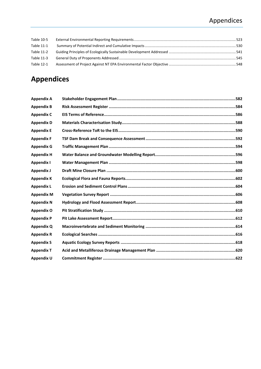## Appendices

| Table 10-5 |  |
|------------|--|
| Table 11-1 |  |
| Table 11-2 |  |
| Table 11-3 |  |
| Table 12-1 |  |
|            |  |

## **Appendices**

| <b>Appendix A</b> |  |
|-------------------|--|
| <b>Appendix B</b> |  |
| <b>Appendix C</b> |  |
| <b>Appendix D</b> |  |
| <b>Appendix E</b> |  |
| <b>Appendix F</b> |  |
| <b>Appendix G</b> |  |
| <b>Appendix H</b> |  |
| <b>Appendix I</b> |  |
| <b>Appendix J</b> |  |
| <b>Appendix K</b> |  |
| <b>Appendix L</b> |  |
| <b>Appendix M</b> |  |
| <b>Appendix N</b> |  |
| <b>Appendix O</b> |  |
| <b>Appendix P</b> |  |
| <b>Appendix Q</b> |  |
| <b>Appendix R</b> |  |
| <b>Appendix S</b> |  |
| <b>Appendix T</b> |  |
| Appendix U        |  |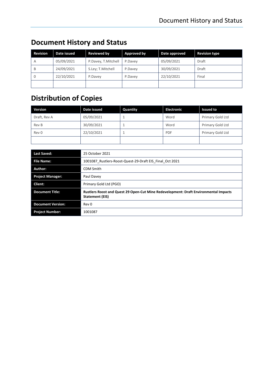| <b>Revision</b> | Date issued | <b>Reviewed by</b>  | Approved by | Date approved | <b>Revision type</b> |
|-----------------|-------------|---------------------|-------------|---------------|----------------------|
| A               | 05/09/2021  | P.Davey, T.Mitchell | P.Davev     | 05/09/2021    | Draft                |
| B               | 24/09/2021  | S.Ley; T.Mitchell   | P.Davey     | 30/09/2021    | Draft                |
| $\Omega$        | 22/10/2021  | P.Davey             | P.Davey     | 22/10/2021    | Final                |
|                 |             |                     |             |               |                      |

## **Document History and Status**

## **Distribution of Copies**

| <b>Version</b> | Date issued | Quantity | <b>Electronic</b> | <b>Issued to</b> |
|----------------|-------------|----------|-------------------|------------------|
| Draft, Rev A   | 05/09/2021  |          | Word              | Primary Gold Ltd |
| Rev B          | 30/09/2021  |          | Word              | Primary Gold Ltd |
| Rev 0          | 22/10/2021  |          | <b>PDF</b>        | Primary Gold Ltd |
|                |             |          |                   |                  |

| <b>Last Saved:</b>       | 25 October 2021                                                                                         |
|--------------------------|---------------------------------------------------------------------------------------------------------|
| <b>File Name:</b>        | 1001087 Rustlers-Roost-Quest-29-Draft EIS Final Oct 2021                                                |
| Author:                  | <b>CDM Smith</b>                                                                                        |
| <b>Project Manager:</b>  | Paul Davey                                                                                              |
| Client:                  | Primary Gold Ltd (PGO)                                                                                  |
| <b>Document Title:</b>   | Rustlers Roost and Quest 29 Open-Cut Mine Redevelopment: Draft Environmental Impacts<br>Statement (EIS) |
| <b>Document Version:</b> | Rev 0                                                                                                   |
| <b>Project Number:</b>   | 1001087                                                                                                 |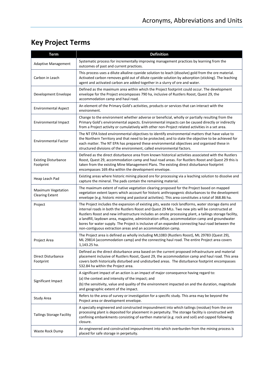## **Key Project Terms**

| <b>Term</b>                                         | <b>Definition</b>                                                                                                                                                                                                                                                                                                                                                                                                                                                                                                                                                                  |
|-----------------------------------------------------|------------------------------------------------------------------------------------------------------------------------------------------------------------------------------------------------------------------------------------------------------------------------------------------------------------------------------------------------------------------------------------------------------------------------------------------------------------------------------------------------------------------------------------------------------------------------------------|
| <b>Adaptive Management</b>                          | Systematic process for incrementally improving management practices by learning from the<br>outcomes of past and current practices.                                                                                                                                                                                                                                                                                                                                                                                                                                                |
| Carbon in Leach                                     | This process uses a dilute alkaline cyanide solution to leach (dissolve) gold from the ore material.<br>Activated carbon removes gold out of dilute cyanide solution by adsorption (sticking). The leaching<br>agent and activated carbon are added together in a slurry of ore and water.                                                                                                                                                                                                                                                                                         |
| Development Envelope                                | Defined as the maximum area within which the Project footprint could occur. The development<br>envelope for the Project encompasses 790 ha, inclusive of Rustlers Roost, Quest 29, the<br>accommodation camp and haul road.                                                                                                                                                                                                                                                                                                                                                        |
| <b>Environmental Aspect</b>                         | An element of the Primary Gold's activities, products or services that can interact with the<br>environment.                                                                                                                                                                                                                                                                                                                                                                                                                                                                       |
| <b>Environmental Impact</b>                         | Change to the environment whether adverse or beneficial, wholly or partially resulting from the<br>Primary Gold's environmental aspects. Environmental impacts can be caused directly or indirectly<br>from a Project activity or cumulatively with other non-Project related activities in a set area.                                                                                                                                                                                                                                                                            |
| <b>Environmental Factor</b>                         | The NT EPA listed environmental objectives to identify environmental matters that have value to<br>the Northern Territory and that need to be protected; and to state the objective to be achieved for<br>each matter. The NT EPA has prepared these environmental objectives and organised these in<br>structured divisions of the environment, called environmental factors.                                                                                                                                                                                                     |
| <b>Existing Disturbance</b><br>Footprint            | Defined as the direct disturbance area from known historical activities associated with the Rustlers<br>Roost, Quest 29, accommodation camp and haul road areas. For Rustlers Roost and Quest 29 this is<br>taken from the existing Mine Management Plans. The existing direct disturbance footprint<br>encompasses 169.4ha within the development envelope.                                                                                                                                                                                                                       |
| Heap Leach Pad                                      | Existing areas where historic mining placed ore for processing via a leaching solution to dissolve and<br>capture the mineral. The pads contain the remaining material.                                                                                                                                                                                                                                                                                                                                                                                                            |
| <b>Maximum Vegetation</b><br><b>Clearing Extent</b> | The maximum extent of native vegetation clearing proposed for the Project based on mapped<br>vegetation extent layers which account for historic anthropogenic disturbances to the development<br>envelope (e.g. historic mining and pastoral activities). This area constitutes a total of 368.86 ha.                                                                                                                                                                                                                                                                             |
| Project                                             | The Project includes the expansion of existing pits, waste rock landforms, water storage dams and<br>internal roads in both the Rustlers Roost and Quest 29 MLs. Two new pits will be constructed at<br>Rustlers Roost and new infrastructure includes an onsite processing plant, a tailings storage facility,<br>a landfill, laydown area, magazine, administration office, accommodation camp and groundwater<br>bores for water supply. The Project is inclusive of an expanded connecting haul road between the<br>non-contiguous extraction areas and an accommodation camp. |
| Project Area                                        | The Project area is defined as wholly including ML1083 (Rustlers Roost), ML 29783 (Quest 29),<br>ML 29814 (accommodation camp) and the connecting haul road. The entire Project area covers<br>1,143.25 ha.                                                                                                                                                                                                                                                                                                                                                                        |
| Direct Disturbance<br>Footprint                     | Defined as the direct disturbance area based on the current proposed infrastructure and material<br>placement inclusive of Rustlers Roost, Quest 29, the accommodation camp and haul road. This area<br>covers both historically disturbed and undisturbed areas. The disturbance footprint encompasses<br>532.84 ha within the Project area.                                                                                                                                                                                                                                      |
| Significant Impact                                  | A significant impact of an action is an impact of major consequence having regard to:<br>(a) the context and intensity of the impact; and<br>(b) the sensitivity, value and quality of the environment impacted on and the duration, magnitude<br>and geographic extent of the impact.                                                                                                                                                                                                                                                                                             |
| Study Area                                          | Refers to the area of survey or investigation for a specific study. This area may be beyond the<br>Project area or development envelope.                                                                                                                                                                                                                                                                                                                                                                                                                                           |
| <b>Tailings Storage Facility</b>                    | A specially engineered and constructed impoundment into which tailings (residue) from the ore<br>processing plant is deposited for placement in perpetuity. The storage facility is constructed with<br>confining embankments consisting of earthen material (e.g. rock and soil) and capped following<br>closure.                                                                                                                                                                                                                                                                 |
| Waste Rock Dump                                     | An engineered and constructed impoundment into which overburden from the mining process is<br>placed for safe storage in perpetuity.                                                                                                                                                                                                                                                                                                                                                                                                                                               |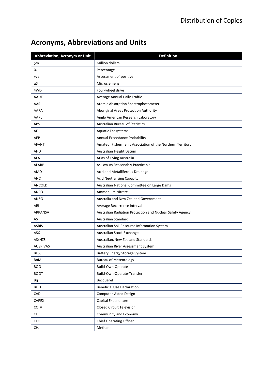## <span id="page-16-0"></span>**Acronyms, Abbreviations and Units**

| <b>Abbreviation, Acronym or Unit</b> | <b>Definition</b>                                         |
|--------------------------------------|-----------------------------------------------------------|
| \$m                                  | Million dollars                                           |
| %                                    | Percentage                                                |
| $+ve$                                | Assessment of positive                                    |
| μS                                   | Microsiemens                                              |
| 4WD                                  | Four-wheel drive                                          |
| AADT                                 | Average Annual Daily Traffic                              |
| AAS                                  | Atomic Absorption Spectrophotometer                       |
| <b>AAPA</b>                          | Aboriginal Areas Protection Authority                     |
| AARL                                 | Anglo American Research Laboratory                        |
| ABS                                  | <b>Australian Bureau of Statistics</b>                    |
| AE                                   | Aquatic Ecosystems                                        |
| <b>AEP</b>                           | Annual Exceedance Probability                             |
| <b>AFANT</b>                         | Amateur Fishermen's Association of the Northern Territory |
| AHD                                  | Australian Height Datum                                   |
| <b>ALA</b>                           | Atlas of Living Australia                                 |
| <b>ALARP</b>                         | As Low As Reasonably Practicable                          |
| AMD                                  | Acid and Metalliferous Drainage                           |
| <b>ANC</b>                           | <b>Acid Neutralising Capacity</b>                         |
| ANCOLD                               | Australian National Committee on Large Dams               |
| <b>ANFO</b>                          | Ammonium Nitrate                                          |
| ANZG                                 | Australia and New Zealand Government                      |
| ARI                                  | Average Recurrence Interval                               |
| <b>ARPANSA</b>                       | Australian Radiation Protection and Nuclear Safety Agency |
| AS                                   | Australian Standard                                       |
| <b>ASRIS</b>                         | Australian Soil Resource Information System               |
| ASX                                  | Australian Stock Exchange                                 |
| AS/NZS                               | Australian/New Zealand Standards                          |
| <b>AUSRIVAS</b>                      | Australian River Assessment System                        |
| <b>BESS</b>                          | <b>Battery Energy Storage System</b>                      |
| BoM                                  | <b>Bureau of Meteorology</b>                              |
| <b>BOO</b>                           | Build-Own-Operate                                         |
| <b>BOOT</b>                          | Build-Own-Operate-Transfer                                |
| Bq                                   | Becquerel                                                 |
| <b>BUD</b>                           | <b>Beneficial Use Declaration</b>                         |
| CAD                                  | Computer-Aided Design                                     |
| CAPEX                                | Capital Expenditure                                       |
| <b>CCTV</b>                          | <b>Closed Circuit Television</b>                          |
| CE                                   | Community and Economy                                     |
| CEO                                  | <b>Chief Operating Officer</b>                            |
| CH <sub>4</sub>                      | Methane                                                   |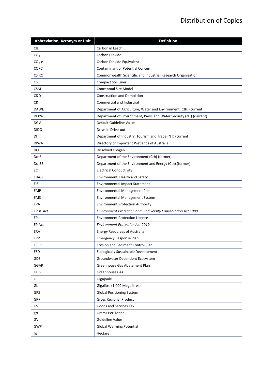| Abbreviation, Acronym or Unit | <b>Definition</b>                                                  |
|-------------------------------|--------------------------------------------------------------------|
| <b>CIL</b>                    | Carbon in Leach                                                    |
| CO <sub>2</sub>               | Carbon Dioxide                                                     |
| $CO2-e$                       | Carbon Dioxide Equivalent                                          |
| COPC                          | <b>Contaminant of Potential Concern</b>                            |
| <b>CSIRO</b>                  | Commonwealth Scientific and Industrial Research Organisation       |
| <b>CSL</b>                    | Compact Soil Liner                                                 |
| <b>CSM</b>                    | Conceptual Site Model                                              |
| C&D                           | <b>Construction and Demolition</b>                                 |
| C&I                           | Commercial and Industrial                                          |
| <b>DAWE</b>                   | Department of Agriculture, Water and Environment (Cth) (current)   |
| <b>DEPWS</b>                  | Department of Environment, Parks and Water Security (NT) (current) |
| <b>DGV</b>                    | Default Guideline Value                                            |
| <b>DIDO</b>                   | Drive-in Drive-out                                                 |
| <b>DITT</b>                   | Department of Industry, Tourism and Trade (NT) (current)           |
| <b>DIWA</b>                   | Directory of Important Wetlands of Australia                       |
| DO.                           | Dissolved Oxygen                                                   |
| DotE                          | Department of the Environment (Cth) (former)                       |
| DotEE                         | Department of the Environment and Energy (Cth) (former)            |
| EC                            | <b>Electrical Conductivity</b>                                     |
| EH&S                          | Environment, Health and Safety                                     |
| EIS                           | <b>Environmental Impact Statement</b>                              |
| <b>EMP</b>                    | Environmental Management Plan                                      |
| <b>EMS</b>                    | Environmental Management System                                    |
| EPA                           | <b>Environment Protection Authority</b>                            |
| <b>EPBC Act</b>               | Environment Protection and Biodiversity Conservation Act 1999      |
| EPL                           | <b>Environment Protection Licence</b>                              |
| EP Act                        | <b>Environment Protection Act 2019</b>                             |
| <b>ERA</b>                    | <b>Energy Resources of Australia</b>                               |
| ERP                           | <b>Emergency Response Plan</b>                                     |
| <b>ESCP</b>                   | Erosion and Sediment Control Plan                                  |
| <b>ESD</b>                    | <b>Ecologically Sustainable Development</b>                        |
| GDE                           | Groundwater Dependent Ecosystem                                    |
| GGAP                          | Greenhouse Gas Abatement Plan                                      |
| GHG                           | Greenhouse Gas                                                     |
| GJ                            | Gigajoule                                                          |
| GL                            | Gigalitre (1,000 Megalitres)                                       |
| GPS                           | <b>Global Positioning System</b>                                   |
| GRP                           | <b>Gross Regional Product</b>                                      |
| <b>GST</b>                    | Goods and Services Tax                                             |
| g/t                           | Grams Per Tonne                                                    |
| GV                            | <b>Guideline Value</b>                                             |
| <b>GWP</b>                    | <b>Global Warming Potential</b>                                    |
| ha                            | Hectare                                                            |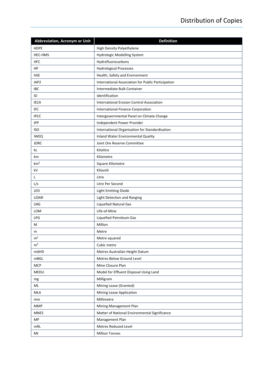| Abbreviation, Acronym or Unit | <b>Definition</b>                                  |  |  |
|-------------------------------|----------------------------------------------------|--|--|
| <b>HDPE</b>                   | High Density Polyethylene                          |  |  |
| <b>HEC-HMS</b>                | Hydrologic Modelling System                        |  |  |
| <b>HFC</b>                    | Hydrofluorocarbons                                 |  |  |
| HP                            | <b>Hydrological Processes</b>                      |  |  |
| <b>HSE</b>                    | Health, Safety and Environment                     |  |  |
| IAP2                          | International Association for Public Participation |  |  |
| <b>IBC</b>                    | Intermediate Bulk Container                        |  |  |
| ID                            | Identification                                     |  |  |
| <b>IECA</b>                   | <b>International Erosion Control Association</b>   |  |  |
| <b>IFC</b>                    | International Finance Corporation                  |  |  |
| <b>IPCC</b>                   | Intergovernmental Panel on Climate Change          |  |  |
| <b>IPP</b>                    | Independent Power Provider                         |  |  |
| <b>ISO</b>                    | International Organisation for Standardisation     |  |  |
| <b>IWEQ</b>                   | <b>Inland Water Environmental Quality</b>          |  |  |
| <b>JORC</b>                   | Joint Ore Reserve Committee                        |  |  |
| kL                            | Kilolitre                                          |  |  |
| km                            | Kilometre                                          |  |  |
| km <sup>2</sup>               | Square Kilometre                                   |  |  |
| kV                            | Kilovolt                                           |  |  |
| L                             | Litre                                              |  |  |
| L/s                           | Litre Per Second                                   |  |  |
| LED                           | <b>Light Emitting Diode</b>                        |  |  |
| LiDAR                         | Light Detection and Ranging                        |  |  |
| LNG                           | <b>Liquefied Natural Gas</b>                       |  |  |
| <b>LOM</b>                    | Life-of-Mine                                       |  |  |
| LPG                           | Liquefied Petroleum Gas                            |  |  |
| М                             | Million                                            |  |  |
| m                             | Metre                                              |  |  |
| m <sup>2</sup>                | Metre squared                                      |  |  |
| m <sup>3</sup>                | Cubic metre                                        |  |  |
| <b>mAHD</b>                   | Metres Australian Height Datum                     |  |  |
| mBGL                          | Metres Below Ground Level                          |  |  |
| <b>MCP</b>                    | Mine Closure Plan                                  |  |  |
| <b>MEDLI</b>                  | Model for Effluent Disposal Using Land             |  |  |
| mg                            | Milligram                                          |  |  |
| ML                            | Mining Lease (Granted)                             |  |  |
| MLA                           | Mining Lease Application                           |  |  |
| mm                            | Millimetre                                         |  |  |
| <b>MMP</b>                    | Mining Management Plan                             |  |  |
| <b>MNES</b>                   | Matter of National Environmental Significance      |  |  |
| MP                            | Management Plan                                    |  |  |
| mRL                           | Metres Reduced Level                               |  |  |
| Mt                            | <b>Million Tonnes</b>                              |  |  |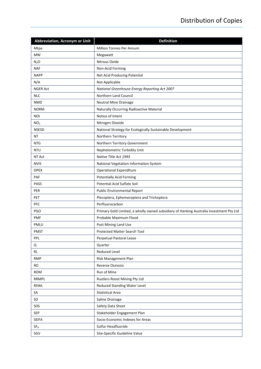| <b>Abbreviation, Acronym or Unit</b> | <b>Definition</b>                                                                       |
|--------------------------------------|-----------------------------------------------------------------------------------------|
| Mtpa                                 | Million Tonnes Per Annum                                                                |
| <b>MW</b>                            | Megawatt                                                                                |
| N <sub>2</sub> O                     | Nitrous Oxide                                                                           |
| <b>NAF</b>                           | Non-Acid Forming                                                                        |
| <b>NAPP</b>                          | Net Acid Producing Potential                                                            |
| N/A                                  | Not Applicable                                                                          |
| <b>NGER Act</b>                      | National Greenhouse Energy Reporting Act 2007                                           |
| <b>NLC</b>                           | Northern Land Council                                                                   |
| <b>NMD</b>                           | <b>Neutral Mine Drainage</b>                                                            |
| <b>NORM</b>                          | Naturally Occurring Radioactive Material                                                |
| <b>NOI</b>                           | Notice of Intent                                                                        |
| NO <sub>2</sub>                      | Nitrogen Dioxide                                                                        |
| <b>NSESD</b>                         | National Strategy for Ecologically Sustainable Development                              |
| <b>NT</b>                            | Northern Territory                                                                      |
| <b>NTG</b>                           | Northern Territory Government                                                           |
| <b>NTU</b>                           | Nephelometric Turbidity Unit                                                            |
| NT Act                               | Native Title Act 1993                                                                   |
| <b>NVIS</b>                          | National Vegetation Information System                                                  |
| <b>OPEX</b>                          | <b>Operational Expenditure</b>                                                          |
| PAF                                  | <b>Potentially Acid Forming</b>                                                         |
| PASS                                 | Potential Acid Sulfate Soil                                                             |
| PER                                  | <b>Public Environmental Report</b>                                                      |
| <b>PET</b>                           | Plecoptera, Ephemeroptera and Trichoptera                                               |
| PFC                                  | Perfluorocarbon                                                                         |
| <b>PGO</b>                           | Primary Gold Limited, a wholly owned subsidiary of Hanking Australia Investment Pty Ltd |
| <b>PMF</b>                           | Probable Maximum Flood                                                                  |
| PMLU                                 | Post Mining Land Use                                                                    |
| <b>PMST</b>                          | Protected Matter Search Tool                                                            |
| PPL                                  | Perpetual Pastoral Lease                                                                |
| Q                                    | Quarter                                                                                 |
| <b>RL</b>                            | Reduced Level                                                                           |
| <b>RMP</b>                           | Risk Management Plan                                                                    |
| <b>RO</b>                            | <b>Reverse Osmosis</b>                                                                  |
| <b>ROM</b>                           | Run of Mine                                                                             |
| RRMPL                                | Rustlers Roost Mining Pty Ltd                                                           |
| <b>RSWL</b>                          | Reduced Standing Water Level                                                            |
| SA                                   | <b>Statistical Area</b>                                                                 |
| SD                                   | Saline Drainage                                                                         |
| SDS                                  | Safety Data Sheet                                                                       |
| <b>SEP</b>                           | Stakeholder Engagement Plan                                                             |
| <b>SEIFA</b>                         | Socio-Economic Indexes for Areas                                                        |
| SF <sub>6</sub>                      | Sulfur Hexafluoride                                                                     |
| SGV                                  | Site-Specific Guideline Value                                                           |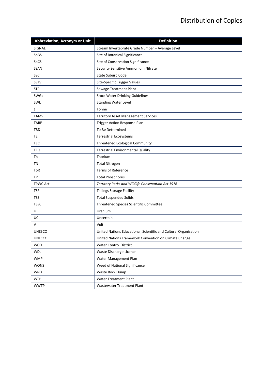| <b>Abbreviation, Acronym or Unit</b> | <b>Definition</b>                                                |
|--------------------------------------|------------------------------------------------------------------|
| SIGNAL                               | Stream Invertebrate Grade Number - Average Level                 |
| SoBS                                 | Site of Botanical Significance                                   |
| SoCS                                 | Site of Conservation Significance                                |
| <b>SSAN</b>                          | Security Sensitive Ammonium Nitrate                              |
| SSC                                  | <b>State Suburb Code</b>                                         |
| <b>SSTV</b>                          | Site-Specific Trigger Values                                     |
| <b>STP</b>                           | Sewage Treatment Plant                                           |
| <b>SWGs</b>                          | <b>Stock Water Drinking Guidelines</b>                           |
| SWL                                  | <b>Standing Water Level</b>                                      |
| t                                    | Tonne                                                            |
| <b>TAMS</b>                          | <b>Territory Asset Management Services</b>                       |
| <b>TARP</b>                          | Trigger Action Response Plan                                     |
| TBD                                  | To Be Determined                                                 |
| TE                                   | <b>Terrestrial Ecosystems</b>                                    |
| TEC                                  | <b>Threatened Ecological Community</b>                           |
| TEQ                                  | <b>Terrestrial Environmental Quality</b>                         |
| Th                                   | Thorium                                                          |
| <b>TN</b>                            | <b>Total Nitrogen</b>                                            |
| ToR                                  | <b>Terms of Reference</b>                                        |
| TP                                   | <b>Total Phosphorus</b>                                          |
| <b>TPWC Act</b>                      | Territory Parks and Wildlife Conservation Act 1976               |
| TSF                                  | <b>Tailings Storage Facility</b>                                 |
| <b>TSS</b>                           | <b>Total Suspended Solids</b>                                    |
| <b>TSSC</b>                          | Threatened Species Scientific Committee                          |
| U                                    | Uranium                                                          |
| UC                                   | Uncertain                                                        |
| V                                    | Volt                                                             |
| <b>UNESCO</b>                        | United Nations Educational, Scientific and Cultural Organisation |
| <b>UNFCCC</b>                        | United Nations Framework Convention on Climate Change            |
| <b>WCD</b>                           | <b>Water Control District</b>                                    |
| <b>WDL</b>                           | Waste Discharge Licence                                          |
| <b>WMP</b>                           | Water Management Plan                                            |
| <b>WONS</b>                          | Weed of National Significance                                    |
| <b>WRD</b>                           | Waste Rock Dump                                                  |
| <b>WTP</b>                           | <b>Water Treatment Plant</b>                                     |
| <b>WWTP</b>                          | Wastewater Treatment Plant                                       |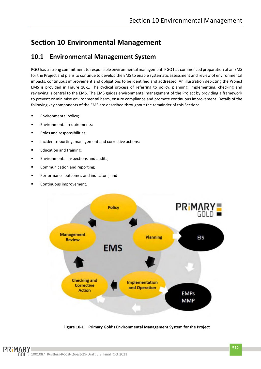## <span id="page-21-0"></span>**Section 10 Environmental Management**

### <span id="page-21-1"></span>**10.1 Environmental Management System**

PGO has a strong commitment to responsible environmental management. PGO has commenced preparation of an EMS for the Project and plans to continue to develop the EMS to enable systematic assessment and review of environmental impacts, continuous improvement and obligations to be identified and addressed. An illustration depicting the Project EMS is provided in [Figure 10-1.](#page-21-2) The cyclical process of referring to policy, planning, implementing, checking and reviewing is central to the EMS. The EMS guides environmental management of the Project by providing a framework to prevent or minimise environmental harm, ensure compliance and promote continuous improvement. Details of the following key components of the EMS are described throughout the remainder of this Section:

- **■** Environmental policy;
- Environmental requirements:
- Roles and responsibilities:
- Incident reporting, management and corrective actions;
- Education and training;
- Environmental inspections and audits;
- Communication and reporting;
- Performance outcomes and indicators; and
- Continuous improvement.



<span id="page-21-2"></span>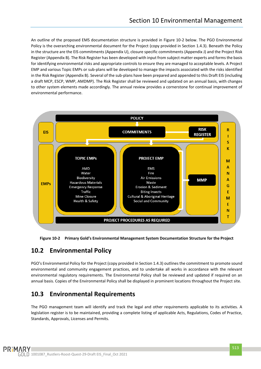An outline of the proposed EMS documentation structure is provided in [Figure 10-2](#page-22-2) below. The PGO Environmental Policy is the overarching environmental document for the Project (copy provided in Section 1.4.3). Beneath the Policy in the structure are the EIS commitments (Appendix U), closure specific commitments (Appendix J) and the Project Risk Register (Appendix B). The Risk Register has been developed with input from subject matter experts and forms the basis for identifying environmental risks and appropriate controls to ensure they are managed to acceptable levels. A Project EMP and various Topic EMPs or sub-plans will be developed to manage the impacts associated with the risks identified in the Risk Register (Appendix B). Several of the sub-plans have been prepared and appended to this Draft EIS (including a draft MCP, ESCP, WMP, AMDMP). The Risk Register shall be reviewed and updated on an annual basis, with changes to other system elements made accordingly. The annual review provides a cornerstone for continual improvement of environmental performance.



<span id="page-22-2"></span>**Figure 10-2 Primary Gold's Environmental Management System Documentation Structure for the Project**

## <span id="page-22-0"></span>**10.2 Environmental Policy**

PGO's Environmental Policy for the Project (copy provided in Section 1.4.3) outlines the commitment to promote sound environmental and community engagement practices, and to undertake all works in accordance with the relevant environmental regulatory requirements. The Environmental Policy shall be reviewed and updated if required on an annual basis. Copies of the Environmental Policy shall be displayed in prominent locations throughout the Project site.

## <span id="page-22-1"></span>**10.3 Environmental Requirements**

The PGO management team will identify and track the legal and other requirements applicable to its activities. A legislation register is to be maintained, providing a complete listing of applicable Acts, Regulations, Codes of Practice, Standards, Approvals, Licenses and Permits.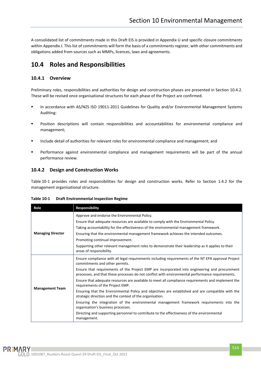A consolidated list of commitments made in this Draft EIS is provided in Appendix U and specific closure commitments within Appendix J. This list of commitments will form the basis of a commitments register, with other commitments and obligations added from sources such as MMPs, licences, laws and agreements.

### <span id="page-23-0"></span>**10.4 Roles and Responsibilities**

#### <span id="page-23-1"></span>**10.4.1 Overview**

Preliminary roles, responsibilities and authorities for design and construction phases are presented in Section [10.4.2.](#page-23-2) These will be revised once organisational structures for each phase of the Project are confirmed.

- In accordance with AS/NZS ISO 19011-2011 Guidelines for Quality and/or Environmental Management Systems Auditing:
- Position descriptions will contain responsibilities and accountabilities for environmental compliance and management;
- Include detail of authorities for relevant roles for environmental compliance and management; and
- Performance against environmental compliance and management requirements will be part of the annual performance review.

#### <span id="page-23-2"></span>**10.4.2 Design and Construction Works**

[Table](#page-23-3) 10-1 provides roles and responsibilities for design and construction works. Refer to Section 1.4.2 for the management organisational structure.

| Role                     | <b>Responsibility</b>                                                                                                                                                                             |
|--------------------------|---------------------------------------------------------------------------------------------------------------------------------------------------------------------------------------------------|
|                          | Approve and endorse the Environmental Policy.                                                                                                                                                     |
|                          | Ensure that adequate resources are available to comply with the Environmental Policy.                                                                                                             |
|                          | Taking accountability for the effectiveness of the environmental management framework.                                                                                                            |
| <b>Managing Director</b> | Ensuring that the environmental management framework achieves the intended outcomes.                                                                                                              |
|                          | Promoting continual improvement.                                                                                                                                                                  |
|                          | Supporting other relevant management roles to demonstrate their leadership as it applies to their<br>areas of responsibility.                                                                     |
|                          | Ensure compliance with all legal requirements including requirements of the NT EPA approval Project<br>commitments and other permits.                                                             |
|                          | Ensure that requirements of the Project EMP are incorporated into engineering and procurement<br>processes, and that these processes do not conflict with environmental performance requirements. |
|                          | Ensure that adequate resources are available to meet all compliance requirements and implement the<br>requirements of the Project EMP.                                                            |
| <b>Management Team</b>   | Ensuring that the Environmental Policy and objectives are established and are compatible with the<br>strategic direction and the context of the organisation.                                     |
|                          | Ensuring the integration of the environmental management framework requirements into the<br>organisation's business processes.                                                                    |
|                          | Directing and supporting personnel to contribute to the effectiveness of the environmental<br>management.                                                                                         |

#### <span id="page-23-3"></span>**Table 10-1 Draft Environmental Inspection Regime**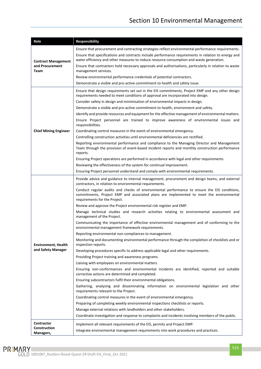| Role                             | Responsibility                                                                                                                                                                                                                                                                                                                                                       |  |  |
|----------------------------------|----------------------------------------------------------------------------------------------------------------------------------------------------------------------------------------------------------------------------------------------------------------------------------------------------------------------------------------------------------------------|--|--|
|                                  | Ensure that procurement and contracting strategies reflect environmental performance requirements.                                                                                                                                                                                                                                                                   |  |  |
| <b>Contract Management</b>       | Ensure that specifications and contracts include performance requirements in relation to energy and<br>water efficiency and other measures to reduce resource consumption and waste generation.                                                                                                                                                                      |  |  |
| and Procurement<br>Team          | Ensure that contractors hold necessary approvals and authorisations, particularly in relation to waste<br>management services.                                                                                                                                                                                                                                       |  |  |
|                                  | Review environmental performance credentials of potential contractors.                                                                                                                                                                                                                                                                                               |  |  |
|                                  | Demonstrate a visible and pro-active commitment to health and safety issue.                                                                                                                                                                                                                                                                                          |  |  |
|                                  | Ensure that design requirements set out in the EIS commitments, Project EMP and any other design<br>requirements needed to meet conditions of approval are incorporated into design.                                                                                                                                                                                 |  |  |
|                                  | Consider safety in design and minimisation of environmental impacts in design.<br>Ensure Project personnel are trained to improve awareness of environmental issues and<br>Reporting environmental performance and compliance to the Managing Director and Management<br>Ensuring non-conformances and environmental incidents are identified, reported and suitable |  |  |
|                                  | Demonstrate a visible and pro-active commitment to health, environment and safety.                                                                                                                                                                                                                                                                                   |  |  |
|                                  | Identify and provide resources and equipment for the effective management of environmental matters.                                                                                                                                                                                                                                                                  |  |  |
|                                  | responsibilities.                                                                                                                                                                                                                                                                                                                                                    |  |  |
| <b>Chief Mining Engineer</b>     | Coordinating control measures in the event of environmental emergency.                                                                                                                                                                                                                                                                                               |  |  |
|                                  | Controlling construction activities until environmental deficiencies are rectified.                                                                                                                                                                                                                                                                                  |  |  |
|                                  | Team through the provision of event-based incident reports and monthly construction performance<br>reports.                                                                                                                                                                                                                                                          |  |  |
|                                  | Ensuring Project operations are performed in accordance with legal and other requirements.                                                                                                                                                                                                                                                                           |  |  |
|                                  | Reviewing the effectiveness of the system for continual improvement.                                                                                                                                                                                                                                                                                                 |  |  |
|                                  | Ensuring Project personnel understand and comply with environmental requirements.                                                                                                                                                                                                                                                                                    |  |  |
|                                  | Provide advice and guidance to internal management, procurement and design teams, and external<br>contractors, in relation to environmental requirements.                                                                                                                                                                                                            |  |  |
|                                  | Conduct regular audits and checks of environmental performance to ensure the EIS conditions,<br>commitments, Project EMP and associated plans are implemented to meet the environmental<br>requirements for the Project.                                                                                                                                             |  |  |
|                                  | Review and approve the Project environmental risk register and EMP.                                                                                                                                                                                                                                                                                                  |  |  |
|                                  | Manage technical studies and research activities relating to environmental assessment and<br>management of the Project.                                                                                                                                                                                                                                              |  |  |
|                                  | Communicating the importance of effective environmental management and of conforming to the<br>environmental management framework requirements.                                                                                                                                                                                                                      |  |  |
|                                  | Reporting environmental non-compliances to management.                                                                                                                                                                                                                                                                                                               |  |  |
| <b>Environment, Health</b>       | Monitoring and documenting environmental performance through the completion of checklists and or<br>inspection reports.                                                                                                                                                                                                                                              |  |  |
| and Safety Manager               | Developing procedures specific to address applicable legal and other requirements.                                                                                                                                                                                                                                                                                   |  |  |
|                                  | Providing Project training and awareness programs.                                                                                                                                                                                                                                                                                                                   |  |  |
|                                  | Liaising with employees on environmental matters.                                                                                                                                                                                                                                                                                                                    |  |  |
|                                  | corrective actions are determined and completed.                                                                                                                                                                                                                                                                                                                     |  |  |
|                                  | Ensuring subcontractors fulfil their environmental obligations.                                                                                                                                                                                                                                                                                                      |  |  |
|                                  | Gathering, analysing and disseminating information on environmental legislation and other<br>requirements relevant to the Project.                                                                                                                                                                                                                                   |  |  |
|                                  | Coordinating control measures in the event of environmental emergency.                                                                                                                                                                                                                                                                                               |  |  |
|                                  | Preparing of completing weekly environmental inspections checklists or reports.                                                                                                                                                                                                                                                                                      |  |  |
|                                  | Manage external relations with landholders and other stakeholders.                                                                                                                                                                                                                                                                                                   |  |  |
|                                  | Coordinate investigation and response to complaints and incidents involving members of the public.                                                                                                                                                                                                                                                                   |  |  |
| <b>Contractor</b>                | Implement all relevant requirements of the EIS, permits and Project EMP.                                                                                                                                                                                                                                                                                             |  |  |
| <b>Construction</b><br>Managers, | Integrate environmental management requirements into work procedures and practices.                                                                                                                                                                                                                                                                                  |  |  |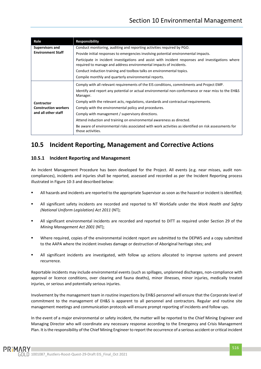| Role                        | <b>Responsibility</b>                                                                                                                                                    |
|-----------------------------|--------------------------------------------------------------------------------------------------------------------------------------------------------------------------|
| <b>Supervisors and</b>      | Conduct monitoring, auditing and reporting activities required by PGO.                                                                                                   |
| <b>Environment Staff</b>    | Provide initial responses to emergencies involving potential environmental impacts.                                                                                      |
|                             | Participate in incident investigations and assist with incident responses and investigations where<br>required to manage and address environmental impacts of incidents. |
|                             | Conduct induction training and toolbox talks on environmental topics.                                                                                                    |
|                             | Compile monthly and quarterly environmental reports.                                                                                                                     |
|                             | Comply with all relevant requirements of the EIS conditions, commitments and Project EMP.                                                                                |
|                             | Identify and report any potential or actual environmental non-conformance or near miss to the EH&S<br>Manager.                                                           |
| Contractor                  | Comply with the relevant acts, regulations, standards and contractual requirements.                                                                                      |
| <b>Construction workers</b> | Comply with the environmental policy and procedures.                                                                                                                     |
| and all other staff         | Comply with management / supervisory directions.                                                                                                                         |
|                             | Attend induction and training on environmental awareness as directed.                                                                                                    |
|                             | Be aware of environmental risks associated with work activities as identified on risk assessments for<br>those activities.                                               |

## <span id="page-25-0"></span>**10.5 Incident Reporting, Management and Corrective Actions**

#### <span id="page-25-1"></span>**10.5.1 Incident Reporting and Management**

An Incident Management Procedure has been developed for the Project. All events (e.g. near misses, audit noncompliances), incidents and injuries shall be reported, assessed and recorded as per the Incident Reporting process illustrated i[n Figure 10-3](#page-27-0) and described below:

- All hazards and incidents are reported to the appropriate Supervisor as soon as the hazard or incident is identified;
- All significant safety incidents are recorded and reported to NT WorkSafe under the *Work Health and Safety (National Uniform Legislation) Act 2011* (NT);
- All significant environmental incidents are recorded and reported to DITT as required under Section 29 of the *Mining Management Act 2001* (NT);
- Where required, copies of the environmental incident report are submitted to the DEPWS and a copy submitted to the AAPA where the incident involves damage or destruction of Aboriginal heritage sites; and
- All significant incidents are investigated, with follow up actions allocated to improve systems and prevent recurrence.

Reportable incidents may include environmental events (such as spillages, unplanned discharges, non‐compliance with approval or licence conditions, over clearing and fauna deaths), minor illnesses, minor injuries, medically treated injuries, or serious and potentially serious injuries.

Involvement by the management team in routine inspections by EH&S personnel will ensure that the Corporate level of commitment to the management of EH&S is apparent to all personnel and contractors. Regular and routine site management meetings and communication protocols will ensure prompt reporting of incidents and follow ups.

In the event of a major environmental or safety incident, the matter will be reported to the Chief Mining Engineer and Managing Director who will coordinate any necessary response according to the Emergency and Crisis Management Plan. It is the responsibility of the Chief Mining Engineer to report the occurrence of a serious accident or critical incident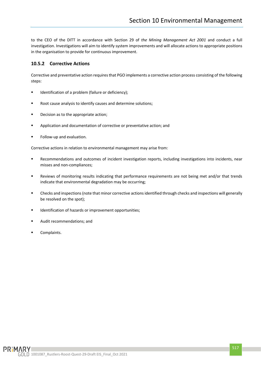to the CEO of the DITT in accordance with Section 29 of *the Mining Management Act 2001* and conduct a full investigation. Investigations will aim to identify system improvements and will allocate actions to appropriate positions in the organisation to provide for continuous improvement.

#### <span id="page-26-0"></span>**10.5.2 Corrective Actions**

Corrective and preventative action requires that PGO implements a corrective action process consisting of the following steps:

- Identification of a problem (failure or deficiency);
- Root cause analysis to identify causes and determine solutions;
- Decision as to the appropriate action;
- Application and documentation of corrective or preventative action; and
- Follow-up and evaluation.

Corrective actions in relation to environmental management may arise from:

- Recommendations and outcomes of incident investigation reports, including investigations into incidents, near misses and non-compliances;
- Reviews of monitoring results indicating that performance requirements are not being met and/or that trends indicate that environmental degradation may be occurring;
- Checks and inspections (note that minor corrective actions identified through checks and inspections will generally be resolved on the spot);
- Identification of hazards or improvement opportunities;
- Audit recommendations; and
- Complaints.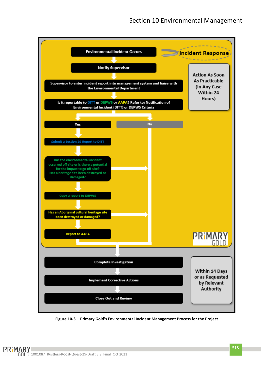

<span id="page-27-0"></span>**Figure 10-3 Primary Gold's Environmental Incident Management Process for the Project**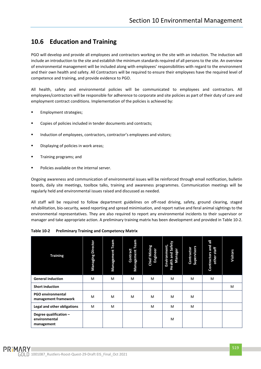## <span id="page-28-0"></span>**10.6 Education and Training**

PGO will develop and provide all employees and contractors working on the site with an induction. The induction will include an introduction to the site and establish the minimum standards required of all persons to the site. An overview of environmental management will be included along with employees' responsibilities with regard to the environment and their own health and safety. All Contractors will be required to ensure their employees have the required level of competence and training, and provide evidence to PGO.

All health, safety and environmental policies will be communicated to employees and contractors. All employees/contractors will be responsible for adherence to corporate and site policies as part of their duty of care and employment contract conditions. Implementation of the policies is achieved by:

- Employment strategies;
- Copies of policies included in tender documents and contracts;
- Induction of employees, contractors, contractor's employees and visitors;
- Displaying of policies in work areas;
- Training programs; and
- Policies available on the internal server.

Ongoing awareness and communication of environmental issues will be reinforced through email notification, bulletin boards, daily site meetings, toolbox talks, training and awareness programmes. Communication meetings will be regularly held and environmental issues raised and discussed as needed.

All staff will be required to follow department guidelines on off-road driving, safety, ground clearing, staged rehabilitation, bio-security, weed reporting and spread minimisation, and report native and feral animal sightings to the environmental representatives. They are also required to report any environmental incidents to their supervisor or manager and take appropriate action. A preliminary training matrix has been development and provided i[n Table](#page-28-1) 10-2.

<span id="page-28-1"></span>

| <b>Training</b>                                       | <b>Managing Director</b> | Team<br>Management | Team<br>Contract<br>Management | <b>Chief Mining</b><br>Engineer | and Safety<br>Environment,<br>Manager<br>Health: | Supervisors<br>Contractor | 륺<br>Contractors and<br>other staff | <b>Visitors</b> |
|-------------------------------------------------------|--------------------------|--------------------|--------------------------------|---------------------------------|--------------------------------------------------|---------------------------|-------------------------------------|-----------------|
| <b>General induction</b>                              | M                        | M                  | M                              | M                               | M                                                | M                         | M                                   |                 |
| <b>Short induction</b>                                |                          |                    |                                |                                 |                                                  |                           |                                     | M               |
| <b>PGO environmental</b><br>management framework      | M                        | M                  | M                              | M                               | M                                                | M                         |                                     |                 |
| Legal and other obligations                           | M                        | M                  |                                | M                               | M                                                | M                         |                                     |                 |
| Degree qualification -<br>environmental<br>management |                          |                    |                                |                                 | M                                                |                           |                                     |                 |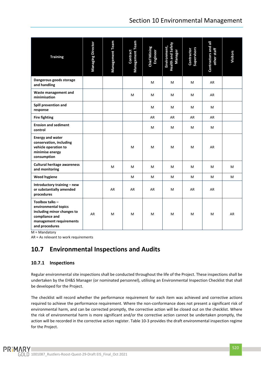| <b>Training</b>                                                                                                                      | <b>Managing Director</b> | Management Team | Management Team<br>Contract | <b>Chief Mining</b><br>Engineer | Health and Safety<br>Environment,<br>Manager | Supervisors<br>Contractor | Contractors and all<br>other staff | <b>Visitors</b> |
|--------------------------------------------------------------------------------------------------------------------------------------|--------------------------|-----------------|-----------------------------|---------------------------------|----------------------------------------------|---------------------------|------------------------------------|-----------------|
| Dangerous goods storage<br>and handling                                                                                              |                          |                 |                             | M                               | М                                            | м                         | AR                                 |                 |
| Waste management and<br>minimisation                                                                                                 |                          |                 | M                           | м                               | м                                            | м                         | AR                                 |                 |
| Spill prevention and<br>response                                                                                                     |                          |                 |                             | м                               | М                                            | м                         | м                                  |                 |
| <b>Fire fighting</b>                                                                                                                 |                          |                 |                             | AR                              | AR                                           | AR                        | AR                                 |                 |
| <b>Erosion and sediment</b><br>control                                                                                               |                          |                 |                             | M                               | м                                            | м                         | М                                  |                 |
| <b>Energy and water</b><br>conservation, including<br>vehicle operation to<br>minimise energy<br>consumption                         |                          |                 | M                           | M                               | M                                            | м                         | AR                                 |                 |
| <b>Cultural heritage awareness</b><br>and monitoring                                                                                 |                          | м               | M                           | M                               | м                                            | м                         | м                                  | M               |
| <b>Weed hygiene</b>                                                                                                                  |                          |                 | M                           | М                               | М                                            | М                         | м                                  | M               |
| Introductory training - new<br>or substantially amended<br>procedures                                                                |                          | AR              | AR                          | AR                              | м                                            | AR                        | AR                                 |                 |
| Toolbox talks -<br>environmental topics<br>including minor changes to<br>compliance and<br>management requirements<br>and procedures | AR                       | м               | M                           | M                               | м                                            | м                         | м                                  | AR              |

 $M =$  Mandatory

<span id="page-29-0"></span>AR = As relevant to work requirements

## **10.7 Environmental Inspections and Audits**

#### <span id="page-29-1"></span>**10.7.1 Inspections**

Regular environmental site inspections shall be conducted throughout the life of the Project. These inspections shall be undertaken by the EH&S Manager (or nominated personnel), utilising an Environmental Inspection Checklist that shall be developed for the Project.

The checklist will record whether the performance requirement for each item was achieved and corrective actions required to achieve the performance requirement. Where the non-conformance does not present a significant risk of environmental harm, and can be corrected promptly, the corrective action will be closed out on the checklist. Where the risk of environmental harm is more significant and/or the corrective action cannot be undertaken promptly, the action will be recorded in the corrective action register. [Table](#page-30-1) 10-3 provides the draft environmental inspection regime for the Project.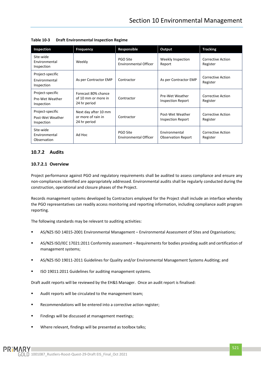| Inspection                                         | <b>Frequency</b>                                           | Responsible                       | Output                                       | <b>Tracking</b>                      |
|----------------------------------------------------|------------------------------------------------------------|-----------------------------------|----------------------------------------------|--------------------------------------|
| Site-wide<br>Environmental<br>Inspection           | Weekly                                                     | PGO Site<br>Environmental Officer | Weekly Inspection<br>Report                  | <b>Corrective Action</b><br>Register |
| Project-specific<br>Environmental<br>Inspection    | As per Contractor EMP                                      | Contractor                        | As per Contractor EMP                        | Corrective Action<br>Register        |
| Project-specific<br>Pre-Wet Weather<br>Inspection  | Forecast 80% chance<br>of 10 mm or more in<br>24 hr period | Contractor                        | Pre-Wet Weather<br>Inspection Report         | Corrective Action<br>Register        |
| Project-specific<br>Post-Wet Weather<br>Inspection | Next day after 10 mm<br>or more of rain in<br>24 hr period | Contractor                        | Post-Wet Weather<br><b>Inspection Report</b> | Corrective Action<br>Register        |
| Site-wide<br>Environmental<br>Observation          | Ad Hoc                                                     | PGO Site<br>Environmental Officer | Environmental<br><b>Observation Report</b>   | Corrective Action<br>Register        |

<span id="page-30-1"></span>**Table 10-3 Draft Environmental Inspection Regime**

#### <span id="page-30-0"></span>**10.7.2 Audits**

#### **10.7.2.1 Overview**

Project performance against PGO and regulatory requirements shall be audited to assess compliance and ensure any non‐compliances identified are appropriately addressed. Environmental audits shall be regularly conducted during the construction, operational and closure phases of the Project.

Records management systems developed by Contractors employed for the Project shall include an interface whereby the PGO representatives can readily access monitoring and reporting information, including compliance audit program reporting.

The following standards may be relevant to auditing activities:

- AS/NZS ISO 14015-2001 Environmental Management Environmental Assessment of Sites and Organisations;
- AS/NZS ISO/IEC 17021:2011 Conformity assessment Requirements for bodies providing audit and certification of management systems;
- AS/NZS ISO 19011-2011 Guidelines for Quality and/or Environmental Management Systems Auditing; and
- ISO 19011:2011 Guidelines for auditing management systems.

Draft audit reports will be reviewed by the EH&S Manager. Once an audit report is finalised:

- Audit reports will be circulated to the management team;
- Recommendations will be entered into a corrective action register;
- Findings will be discussed at management meetings;
- Where relevant, findings will be presented as toolbox talks;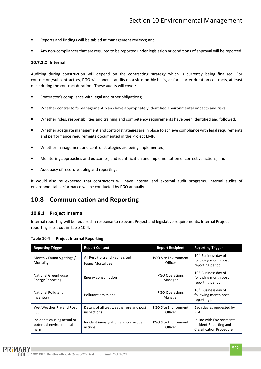- Reports and findings will be tabled at management reviews; and
- Any non-compliances that are required to be reported under legislation or conditions of approval will be reported.

#### **10.7.2.2 Internal**

Auditing during construction will depend on the contracting strategy which is currently being finalised. For contractors/subcontractors, PGO will conduct audits on a six-monthly basis, or for shorter duration contracts, at least once during the contract duration. These audits will cover:

- Contractor's compliance with legal and other obligations;
- Whether contractor's management plans have appropriately identified environmental impacts and risks;
- Whether roles, responsibilities and training and competency requirements have been identified and followed;
- Whether adequate management and control strategies are in place to achieve compliance with legal requirements and performance requirements documented in the Project EMP;
- Whether management and control strategies are being implemented;
- Monitoring approaches and outcomes, and identification and implementation of corrective actions; and
- Adequacy of record keeping and reporting.

It would also be expected that contractors will have internal and external audit programs. Internal audits of environmental performance will be conducted by PGO annually.

### <span id="page-31-0"></span>**10.8 Communication and Reporting**

#### <span id="page-31-1"></span>**10.8.1 Project Internal**

Internal reporting will be required in response to relevant Project and legislative requirements. Internal Project reporting is set out in [Table](#page-31-2) 10-4.

| <b>Reporting Trigger</b>                                       | <b>Report Content</b>                                      | <b>Report Recipient</b>                | <b>Reporting Trigger</b>                                                                |
|----------------------------------------------------------------|------------------------------------------------------------|----------------------------------------|-----------------------------------------------------------------------------------------|
| Monthly Fauna Sightings /<br>Mortality                         | All Pest Flora and Fauna sited<br><b>Fauna Mortalities</b> | <b>PGO Site Environment</b><br>Officer | 10 <sup>th</sup> Business day of<br>following month post<br>reporting period            |
| National Greenhouse<br><b>Energy Reporting</b>                 | Energy consumption                                         | <b>PGO Operations</b><br>Manager       | 10 <sup>th</sup> Business day of<br>following month post<br>reporting period            |
| National Pollutant<br>Inventory                                | Pollutant emissions                                        | <b>PGO Operations</b><br>Manager       | 10 <sup>th</sup> Business day of<br>following month post<br>reporting period            |
| Wet Weather Pre and Post<br><b>ESC</b>                         | Details of all wet weather pre and post<br>inspections     | <b>PGO Site Environment</b><br>Officer | Each day as requested by<br><b>PGO</b>                                                  |
| Incidents causing actual or<br>potential environmental<br>harm | Incident investigation and corrective<br>actions           | <b>PGO Site Environment</b><br>Officer | In line with Environmental<br>Incident Reporting and<br><b>Classification Procedure</b> |

<span id="page-31-2"></span>**Table 10-4 Project Internal Reporting**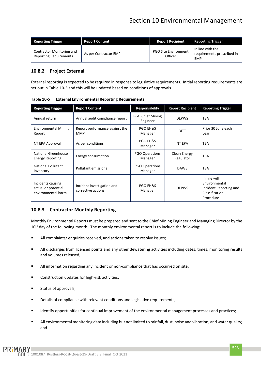| <b>Reporting Trigger</b>                                   | <b>Report Content</b> | <b>Report Recipient</b>                | <b>Reporting Trigger</b>                              |
|------------------------------------------------------------|-----------------------|----------------------------------------|-------------------------------------------------------|
| Contractor Monitoring and<br><b>Reporting Requirements</b> | As per Contractor EMP | <b>PGO Site Environment</b><br>Officer | In line with the<br>requirements prescribed in<br>EMP |

#### <span id="page-32-0"></span>**10.8.2 Project External**

External reporting is expected to be required in response to legislative requirements. Initial reporting requirements are set out i[n Table](#page-32-2) 10-5 and this will be updated based on conditions of approvals.

| <b>Reporting Trigger</b>                                       | <b>Report Content</b>                            | <b>Responsibility</b>            | <b>Report Recipient</b>   | <b>Reporting Trigger</b>                                                               |
|----------------------------------------------------------------|--------------------------------------------------|----------------------------------|---------------------------|----------------------------------------------------------------------------------------|
| Annual return                                                  | Annual audit compliance report                   | PGO Chief Mining<br>Engineer     | <b>DEPWS</b>              | <b>TBA</b>                                                                             |
| <b>Environmental Mining</b><br>Report                          | Report performance against the<br><b>MMP</b>     | PGO EH&S<br>Manager              | <b>DITT</b>               | Prior 30 June each<br>year                                                             |
| NT EPA Approval                                                | As per conditions                                | <b>PGO EH&amp;S</b><br>Manager   | <b>NT EPA</b>             | <b>TBA</b>                                                                             |
| National Greenhouse<br><b>Energy Reporting</b>                 | Energy consumption                               | <b>PGO Operations</b><br>Manager | Clean Energy<br>Regulator | <b>TBA</b>                                                                             |
| <b>National Pollutant</b><br>Inventory                         | Pollutant emissions                              | <b>PGO Operations</b><br>Manager | <b>DAWE</b>               | <b>TBA</b>                                                                             |
| Incidents causing<br>actual or potential<br>environmental harm | Incident investigation and<br>corrective actions | <b>PGO EH&amp;S</b><br>Manager   | <b>DEPWS</b>              | In line with<br>Environmental<br>Incident Reporting and<br>Classification<br>Procedure |

<span id="page-32-2"></span>**Table 10-5 External Environmental Reporting Requirements**

#### <span id="page-32-1"></span>**10.8.3 Contractor Monthly Reporting**

Monthly Environmental Reports must be prepared and sent to the Chief Mining Engineer and Managing Director by the 10<sup>th</sup> day of the following month. The monthly environmental report is to include the following:

- All complaints/ enquiries received, and actions taken to resolve issues;
- All discharges from licensed points and any other dewatering activities including dates, times, monitoring results and volumes released;
- All information regarding any incident or non-compliance that has occurred on site;
- Construction updates for high-risk activities;
- Status of approvals;
- Details of compliance with relevant conditions and legislative requirements;
- **■** Identify opportunities for continual improvement of the environmental management processes and practices;
- All environmental monitoring data including but not limited to rainfall, dust, noise and vibration, and water quality; and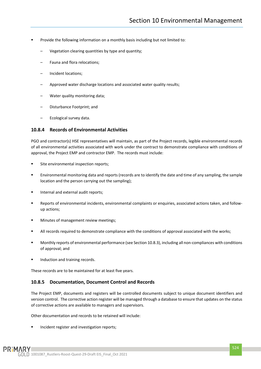- Provide the following information on a monthly basis including but not limited to:
	- Vegetation clearing quantities by type and quantity;
	- Fauna and flora relocations;
	- Incident locations;
	- Approved water discharge locations and associated water quality results;
	- Water quality monitoring data;
	- Disturbance Footprint; and
	- Ecological survey data.

#### <span id="page-33-0"></span>**10.8.4 Records of Environmental Activities**

PGO and contractor(s) HSE representatives will maintain, as part of the Project records, legible environmental records of all environmental activities associated with work under the contract to demonstrate compliance with conditions of approval, the Project EMP and contractor EMP. The records must include:

- Site environmental inspection reports;
- Environmental monitoring data and reports (records are to identify the date and time of any sampling, the sample location and the person carrying out the sampling);
- Internal and external audit reports;
- Reports of environmental incidents, environmental complaints or enquiries, associated actions taken, and followup actions;
- Minutes of management review meetings;
- All records required to demonstrate compliance with the conditions of approval associated with the works;
- Monthly reports of environmental performance (see Section [10.8.3\)](#page-32-1), including all non-compliances with conditions of approval; and
- Induction and training records.

These records are to be maintained for at least five years.

#### <span id="page-33-1"></span>**10.8.5 Documentation, Document Control and Records**

The Project EMP, documents and registers will be controlled documents subject to unique document identifiers and version control. The corrective action register will be managed through a database to ensure that updates on the status of corrective actions are available to managers and supervisors.

Other documentation and records to be retained will include:

Incident register and investigation reports;

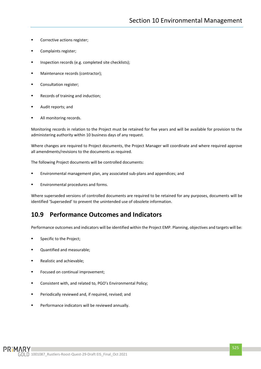- Corrective actions register;
- Complaints register;
- Inspection records (e.g. completed site checklists);
- Maintenance records (contractor);
- Consultation register;
- Records of training and induction;
- Audit reports; and
- All monitoring records.

Monitoring records in relation to the Project must be retained for five years and will be available for provision to the administering authority within 10 business days of any request.

Where changes are required to Project documents, the Project Manager will coordinate and where required approve all amendments/revisions to the documents as required.

The following Project documents will be controlled documents:

- Environmental management plan, any associated sub-plans and appendices; and
- Environmental procedures and forms.

Where superseded versions of controlled documents are required to be retained for any purposes, documents will be identified 'Superseded' to prevent the unintended use of obsolete information.

#### <span id="page-34-0"></span>**10.9 Performance Outcomes and Indicators**

Performance outcomes and indicators will be identified within the Project EMP. Planning, objectives and targets will be:

- Specific to the Project;
- Quantified and measurable;
- Realistic and achievable;
- Focused on continual improvement:
- Consistent with, and related to, PGO's Environmental Policy;
- Periodically reviewed and, if required, revised; and
- Performance indicators will be reviewed annually.